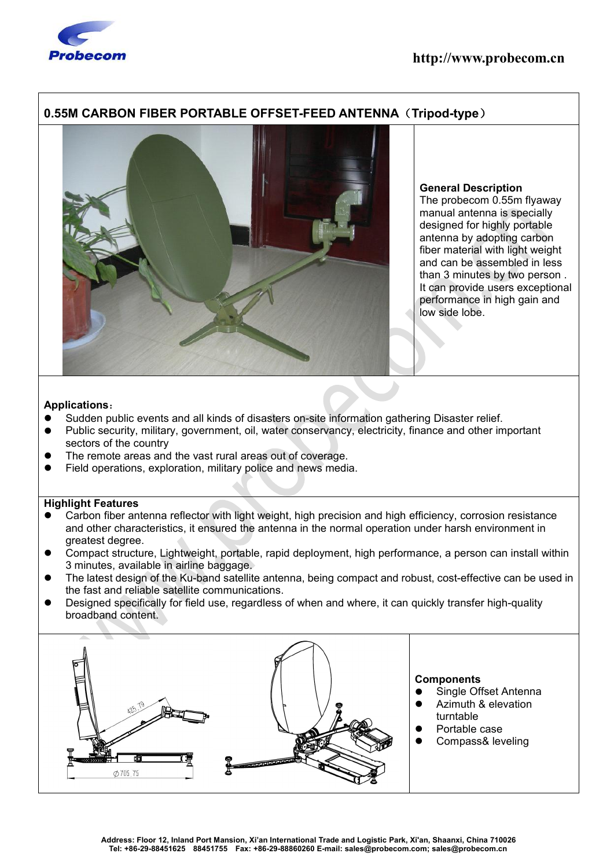

# **0.55M CARBON FIBER PORTABLE OFFSET-FEED ANTENNA**(**Tripod-type**)



## **General Description**

The probecom 0.55m flyaway manual antenna is specially designed for highly portable antenna by adopting carbon fiber material with light weight and can be assembled in less than 3 minutes by two person . It can provide users exceptional performance in high gain and low side lobe.

## **Applications**:

- Sudden public events and all kinds of disasters on-site information gathering Disaster relief.
- Public security, military, government, oil, water conservancy, electricity, finance and other important sectors of the country
- The remote areas and the vast rural areas out of coverage.
- Field operations, exploration, military police and news media.

## **Highlight Features**

- Carbon fiber antenna reflector with light weight, high precision and high efficiency, corrosion resistance and other characteristics, it ensured the antenna in the normal operation under harsh environment in greatest degree.
- Compact structure, Lightweight, portable, rapid deployment, high performance, a person can install within 3 minutes, available in airline baggage.
- The latest design of the Ku-band satellite antenna, being compact and robust, cost-effective can be used in the fast and reliable satellite communications.
- Designed specifically for field use, regardless of when and where, it can quickly transfer high-quality broadband content.